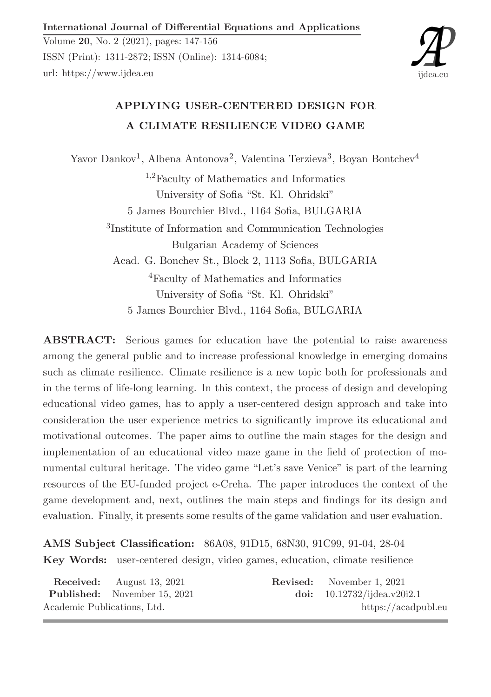International Journal of Differential Equations and Applications

Volume 20, No. 2 (2021), pages: 147-156 ISSN (Print): 1311-2872; ISSN (Online): 1314-6084; url: https://www.ijdea.eu



# APPLYING USER-CENTERED DESIGN FOR A CLIMATE RESILIENCE VIDEO GAME

Yavor Dankov<sup>1</sup>, Albena Antonova<sup>2</sup>, Valentina Terzieva<sup>3</sup>, Boyan Bontchev<sup>4</sup> <sup>1</sup>,2Faculty of Mathematics and Informatics University of Sofia "St. Kl. Ohridski" 5 James Bourchier Blvd., 1164 Sofia, BULGARIA 3 Institute of Information and Communication Technologies Bulgarian Academy of Sciences Acad. G. Bonchev St., Block 2, 1113 Sofia, BULGARIA <sup>4</sup>Faculty of Mathematics and Informatics University of Sofia "St. Kl. Ohridski" 5 James Bourchier Blvd., 1164 Sofia, BULGARIA

ABSTRACT: Serious games for education have the potential to raise awareness among the general public and to increase professional knowledge in emerging domains such as climate resilience. Climate resilience is a new topic both for professionals and in the terms of life-long learning. In this context, the process of design and developing educational video games, has to apply a user-centered design approach and take into consideration the user experience metrics to significantly improve its educational and motivational outcomes. The paper aims to outline the main stages for the design and implementation of an educational video maze game in the field of protection of monumental cultural heritage. The video game "Let's save Venice" is part of the learning resources of the EU-funded project e-Creha. The paper introduces the context of the game development and, next, outlines the main steps and findings for its design and evaluation. Finally, it presents some results of the game validation and user evaluation.

AMS Subject Classification: 86A08, 91D15, 68N30, 91C99, 91-04, 28-04 Key Words: user-centered design, video games, education, climate resilience

|                             | <b>Received:</b> August 13, 2021    | <b>Revised:</b> November 1, 2021 |
|-----------------------------|-------------------------------------|----------------------------------|
|                             | <b>Published:</b> November 15, 2021 | doi: $10.12732/ijdea.v20i2.1$    |
| Academic Publications, Ltd. |                                     | https://acadpubl.eu              |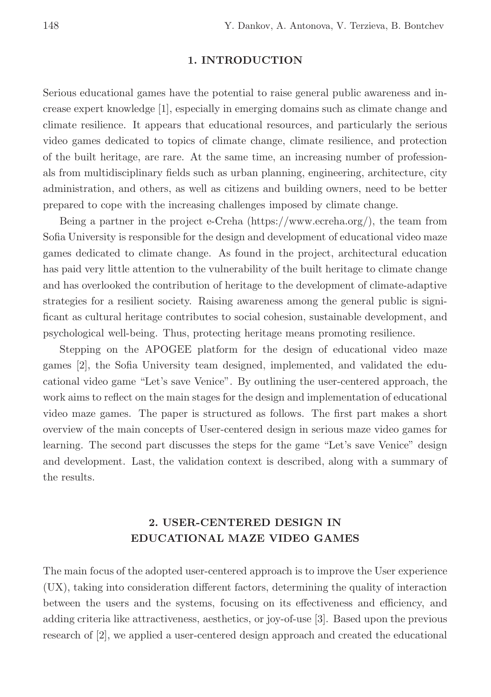#### 1. INTRODUCTION

Serious educational games have the potential to raise general public awareness and increase expert knowledge [1], especially in emerging domains such as climate change and climate resilience. It appears that educational resources, and particularly the serious video games dedicated to topics of climate change, climate resilience, and protection of the built heritage, are rare. At the same time, an increasing number of professionals from multidisciplinary fields such as urban planning, engineering, architecture, city administration, and others, as well as citizens and building owners, need to be better prepared to cope with the increasing challenges imposed by climate change.

Being a partner in the project e-Creha (https://www.ecreha.org/), the team from Sofia University is responsible for the design and development of educational video maze games dedicated to climate change. As found in the project, architectural education has paid very little attention to the vulnerability of the built heritage to climate change and has overlooked the contribution of heritage to the development of climate-adaptive strategies for a resilient society. Raising awareness among the general public is significant as cultural heritage contributes to social cohesion, sustainable development, and psychological well-being. Thus, protecting heritage means promoting resilience.

Stepping on the APOGEE platform for the design of educational video maze games [2], the Sofia University team designed, implemented, and validated the educational video game "Let's save Venice". By outlining the user-centered approach, the work aims to reflect on the main stages for the design and implementation of educational video maze games. The paper is structured as follows. The first part makes a short overview of the main concepts of User-centered design in serious maze video games for learning. The second part discusses the steps for the game "Let's save Venice" design and development. Last, the validation context is described, along with a summary of the results.

## 2. USER-CENTERED DESIGN IN EDUCATIONAL MAZE VIDEO GAMES

The main focus of the adopted user-centered approach is to improve the User experience (UX), taking into consideration different factors, determining the quality of interaction between the users and the systems, focusing on its effectiveness and efficiency, and adding criteria like attractiveness, aesthetics, or joy-of-use [3]. Based upon the previous research of [2], we applied a user-centered design approach and created the educational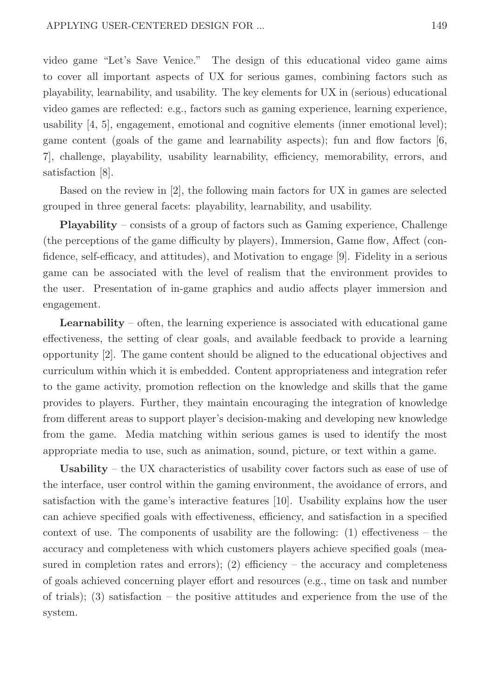video game "Let's Save Venice." The design of this educational video game aims to cover all important aspects of UX for serious games, combining factors such as playability, learnability, and usability. The key elements for UX in (serious) educational video games are reflected: e.g., factors such as gaming experience, learning experience, usability [4, 5], engagement, emotional and cognitive elements (inner emotional level); game content (goals of the game and learnability aspects); fun and flow factors [6, 7], challenge, playability, usability learnability, efficiency, memorability, errors, and satisfaction [8].

Based on the review in [2], the following main factors for UX in games are selected grouped in three general facets: playability, learnability, and usability.

Playability – consists of a group of factors such as Gaming experience, Challenge (the perceptions of the game difficulty by players), Immersion, Game flow, Affect (confidence, self-efficacy, and attitudes), and Motivation to engage [9]. Fidelity in a serious game can be associated with the level of realism that the environment provides to the user. Presentation of in-game graphics and audio affects player immersion and engagement.

Learnability – often, the learning experience is associated with educational game effectiveness, the setting of clear goals, and available feedback to provide a learning opportunity [2]. The game content should be aligned to the educational objectives and curriculum within which it is embedded. Content appropriateness and integration refer to the game activity, promotion reflection on the knowledge and skills that the game provides to players. Further, they maintain encouraging the integration of knowledge from different areas to support player's decision-making and developing new knowledge from the game. Media matching within serious games is used to identify the most appropriate media to use, such as animation, sound, picture, or text within a game.

Usability – the UX characteristics of usability cover factors such as ease of use of the interface, user control within the gaming environment, the avoidance of errors, and satisfaction with the game's interactive features [10]. Usability explains how the user can achieve specified goals with effectiveness, efficiency, and satisfaction in a specified context of use. The components of usability are the following:  $(1)$  effectiveness – the accuracy and completeness with which customers players achieve specified goals (measured in completion rates and errors);  $(2)$  efficiency – the accuracy and completeness of goals achieved concerning player effort and resources (e.g., time on task and number of trials); (3) satisfaction – the positive attitudes and experience from the use of the system.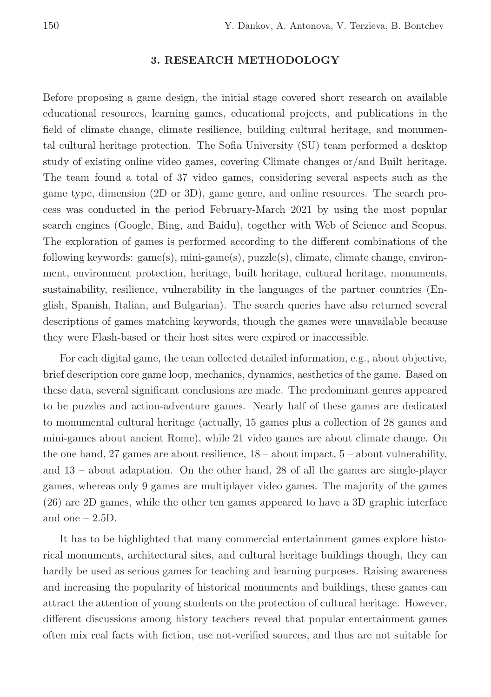#### 3. RESEARCH METHODOLOGY

Before proposing a game design, the initial stage covered short research on available educational resources, learning games, educational projects, and publications in the field of climate change, climate resilience, building cultural heritage, and monumental cultural heritage protection. The Sofia University (SU) team performed a desktop study of existing online video games, covering Climate changes or/and Built heritage. The team found a total of 37 video games, considering several aspects such as the game type, dimension (2D or 3D), game genre, and online resources. The search process was conducted in the period February-March 2021 by using the most popular search engines (Google, Bing, and Baidu), together with Web of Science and Scopus. The exploration of games is performed according to the different combinations of the following keywords: game(s), mini-game(s), puzzle(s), climate, climate change, environment, environment protection, heritage, built heritage, cultural heritage, monuments, sustainability, resilience, vulnerability in the languages of the partner countries (English, Spanish, Italian, and Bulgarian). The search queries have also returned several descriptions of games matching keywords, though the games were unavailable because they were Flash-based or their host sites were expired or inaccessible.

For each digital game, the team collected detailed information, e.g., about objective, brief description core game loop, mechanics, dynamics, aesthetics of the game. Based on these data, several significant conclusions are made. The predominant genres appeared to be puzzles and action-adventure games. Nearly half of these games are dedicated to monumental cultural heritage (actually, 15 games plus a collection of 28 games and mini-games about ancient Rome), while 21 video games are about climate change. On the one hand, 27 games are about resilience,  $18$  – about impact,  $5$  – about vulnerability, and 13 – about adaptation. On the other hand, 28 of all the games are single-player games, whereas only 9 games are multiplayer video games. The majority of the games (26) are 2D games, while the other ten games appeared to have a 3D graphic interface and one  $-2.5D$ .

It has to be highlighted that many commercial entertainment games explore historical monuments, architectural sites, and cultural heritage buildings though, they can hardly be used as serious games for teaching and learning purposes. Raising awareness and increasing the popularity of historical monuments and buildings, these games can attract the attention of young students on the protection of cultural heritage. However, different discussions among history teachers reveal that popular entertainment games often mix real facts with fiction, use not-verified sources, and thus are not suitable for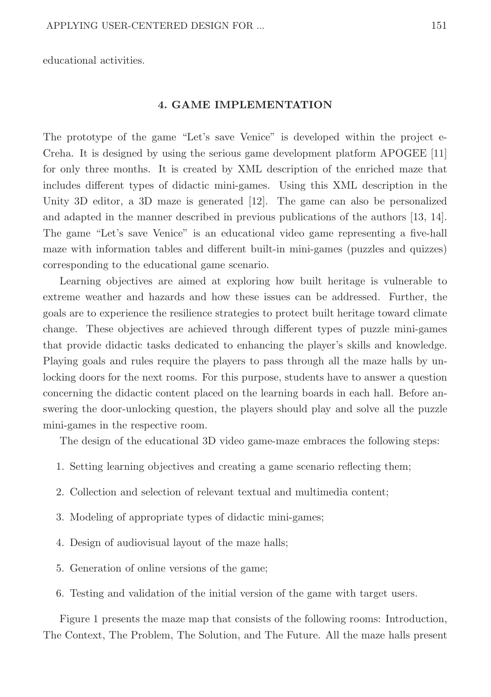educational activities.

#### 4. GAME IMPLEMENTATION

The prototype of the game "Let's save Venice" is developed within the project e-Creha. It is designed by using the serious game development platform APOGEE [11] for only three months. It is created by XML description of the enriched maze that includes different types of didactic mini-games. Using this XML description in the Unity 3D editor, a 3D maze is generated [12]. The game can also be personalized and adapted in the manner described in previous publications of the authors [13, 14]. The game "Let's save Venice" is an educational video game representing a five-hall maze with information tables and different built-in mini-games (puzzles and quizzes) corresponding to the educational game scenario.

Learning objectives are aimed at exploring how built heritage is vulnerable to extreme weather and hazards and how these issues can be addressed. Further, the goals are to experience the resilience strategies to protect built heritage toward climate change. These objectives are achieved through different types of puzzle mini-games that provide didactic tasks dedicated to enhancing the player's skills and knowledge. Playing goals and rules require the players to pass through all the maze halls by unlocking doors for the next rooms. For this purpose, students have to answer a question concerning the didactic content placed on the learning boards in each hall. Before answering the door-unlocking question, the players should play and solve all the puzzle mini-games in the respective room.

The design of the educational 3D video game-maze embraces the following steps:

- 1. Setting learning objectives and creating a game scenario reflecting them;
- 2. Collection and selection of relevant textual and multimedia content;
- 3. Modeling of appropriate types of didactic mini-games;
- 4. Design of audiovisual layout of the maze halls;
- 5. Generation of online versions of the game;
- 6. Testing and validation of the initial version of the game with target users.

Figure 1 presents the maze map that consists of the following rooms: Introduction, The Context, The Problem, The Solution, and The Future. All the maze halls present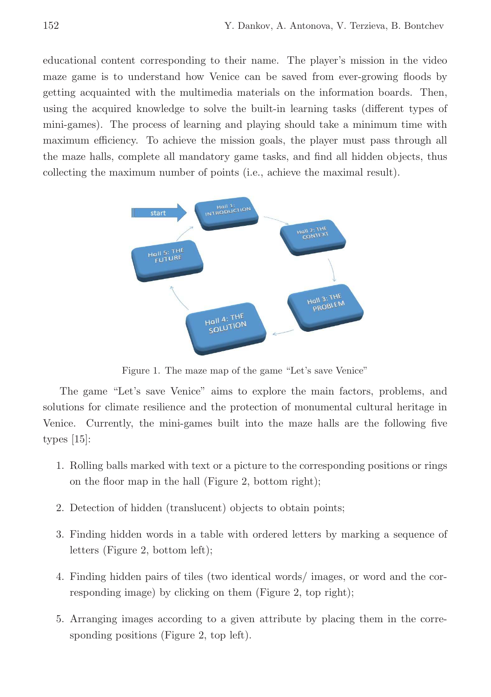educational content corresponding to their name. The player's mission in the video maze game is to understand how Venice can be saved from ever-growing floods by getting acquainted with the multimedia materials on the information boards. Then, using the acquired knowledge to solve the built-in learning tasks (different types of mini-games). The process of learning and playing should take a minimum time with maximum efficiency. To achieve the mission goals, the player must pass through all the maze halls, complete all mandatory game tasks, and find all hidden objects, thus collecting the maximum number of points (i.e., achieve the maximal result).



Figure 1. The maze map of the game "Let's save Venice"

The game "Let's save Venice" aims to explore the main factors, problems, and solutions for climate resilience and the protection of monumental cultural heritage in Venice. Currently, the mini-games built into the maze halls are the following five types [15]:

- 1. Rolling balls marked with text or a picture to the corresponding positions or rings on the floor map in the hall (Figure 2, bottom right);
- 2. Detection of hidden (translucent) objects to obtain points;
- 3. Finding hidden words in a table with ordered letters by marking a sequence of letters (Figure 2, bottom left);
- 4. Finding hidden pairs of tiles (two identical words/ images, or word and the corresponding image) by clicking on them (Figure 2, top right);
- 5. Arranging images according to a given attribute by placing them in the corresponding positions (Figure 2, top left).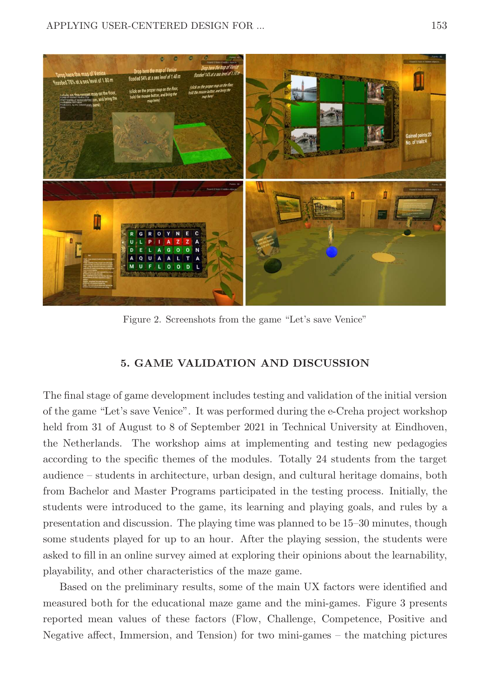

Figure 2. Screenshots from the game "Let's save Venice"

### 5. GAME VALIDATION AND DISCUSSION

The final stage of game development includes testing and validation of the initial version of the game "Let's save Venice". It was performed during the e-Creha project workshop held from 31 of August to 8 of September 2021 in Technical University at Eindhoven, the Netherlands. The workshop aims at implementing and testing new pedagogies according to the specific themes of the modules. Totally 24 students from the target audience – students in architecture, urban design, and cultural heritage domains, both from Bachelor and Master Programs participated in the testing process. Initially, the students were introduced to the game, its learning and playing goals, and rules by a presentation and discussion. The playing time was planned to be 15–30 minutes, though some students played for up to an hour. After the playing session, the students were asked to fill in an online survey aimed at exploring their opinions about the learnability, playability, and other characteristics of the maze game.

Based on the preliminary results, some of the main UX factors were identified and measured both for the educational maze game and the mini-games. Figure 3 presents reported mean values of these factors (Flow, Challenge, Competence, Positive and Negative affect, Immersion, and Tension) for two mini-games – the matching pictures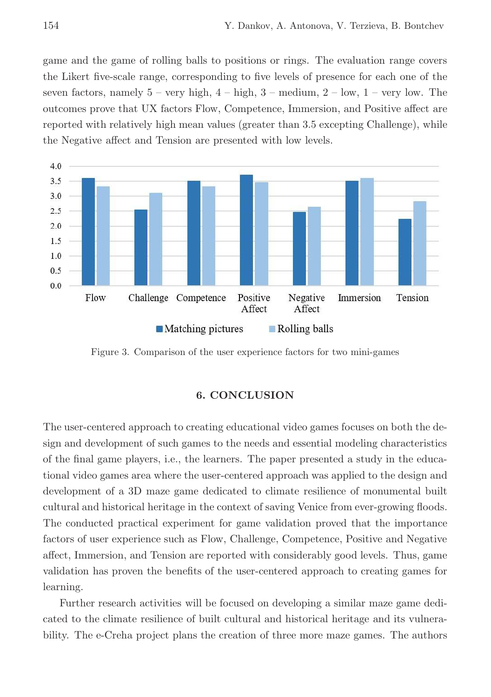game and the game of rolling balls to positions or rings. The evaluation range covers the Likert five-scale range, corresponding to five levels of presence for each one of the seven factors, namely  $5 - \text{very high}, 4 - \text{high}, 3 - \text{medium}, 2 - \text{low}, 1 - \text{very low}$ . The outcomes prove that UX factors Flow, Competence, Immersion, and Positive affect are reported with relatively high mean values (greater than 3.5 excepting Challenge), while the Negative affect and Tension are presented with low levels.



Figure 3. Comparison of the user experience factors for two mini-games

#### 6. CONCLUSION

The user-centered approach to creating educational video games focuses on both the design and development of such games to the needs and essential modeling characteristics of the final game players, i.e., the learners. The paper presented a study in the educational video games area where the user-centered approach was applied to the design and development of a 3D maze game dedicated to climate resilience of monumental built cultural and historical heritage in the context of saving Venice from ever-growing floods. The conducted practical experiment for game validation proved that the importance factors of user experience such as Flow, Challenge, Competence, Positive and Negative affect, Immersion, and Tension are reported with considerably good levels. Thus, game validation has proven the benefits of the user-centered approach to creating games for learning.

Further research activities will be focused on developing a similar maze game dedicated to the climate resilience of built cultural and historical heritage and its vulnerability. The e-Creha project plans the creation of three more maze games. The authors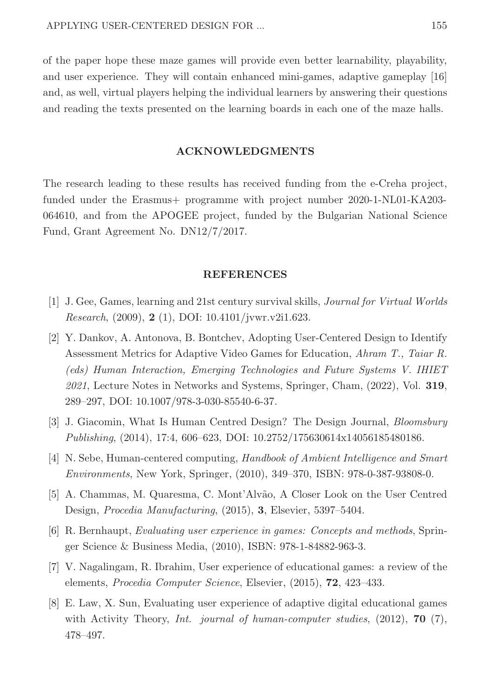of the paper hope these maze games will provide even better learnability, playability, and user experience. They will contain enhanced mini-games, adaptive gameplay [16] and, as well, virtual players helping the individual learners by answering their questions and reading the texts presented on the learning boards in each one of the maze halls.

#### ACKNOWLEDGMENTS

The research leading to these results has received funding from the e-Creha project, funded under the Erasmus+ programme with project number 2020-1-NL01-KA203- 064610, and from the APOGEE project, funded by the Bulgarian National Science Fund, Grant Agreement No. DN12/7/2017.

#### REFERENCES

- [1] J. Gee, Games, learning and 21st century survival skills, *Journal for Virtual Worlds Research*, (2009), 2 (1), DOI: 10.4101/jvwr.v2i1.623.
- [2] Y. Dankov, A. Antonova, B. Bontchev, Adopting User-Centered Design to Identify Assessment Metrics for Adaptive Video Games for Education, *Ahram T., Taiar R. (eds) Human Interaction, Emerging Technologies and Future Systems V. IHIET 2021*, Lecture Notes in Networks and Systems, Springer, Cham, (2022), Vol. 319, 289–297, DOI: 10.1007/978-3-030-85540-6-37.
- [3] J. Giacomin, What Is Human Centred Design? The Design Journal, *Bloomsbury Publishing*, (2014), 17:4, 606–623, DOI: 10.2752/175630614x14056185480186.
- [4] N. Sebe, Human-centered computing, *Handbook of Ambient Intelligence and Smart Environments*, New York, Springer, (2010), 349–370, ISBN: 978-0-387-93808-0.
- [5] A. Chammas, M. Quaresma, C. Mont'Alvão, A Closer Look on the User Centred Design, *Procedia Manufacturing*, (2015), 3, Elsevier, 5397–5404.
- [6] R. Bernhaupt, *Evaluating user experience in games: Concepts and methods*, Springer Science & Business Media, (2010), ISBN: 978-1-84882-963-3.
- [7] V. Nagalingam, R. Ibrahim, User experience of educational games: a review of the elements, *Procedia Computer Science*, Elsevier, (2015), 72, 423–433.
- [8] E. Law, X. Sun, Evaluating user experience of adaptive digital educational games with Activity Theory, *Int. journal of human-computer studies*, (2012), 70 (7), 478–497.